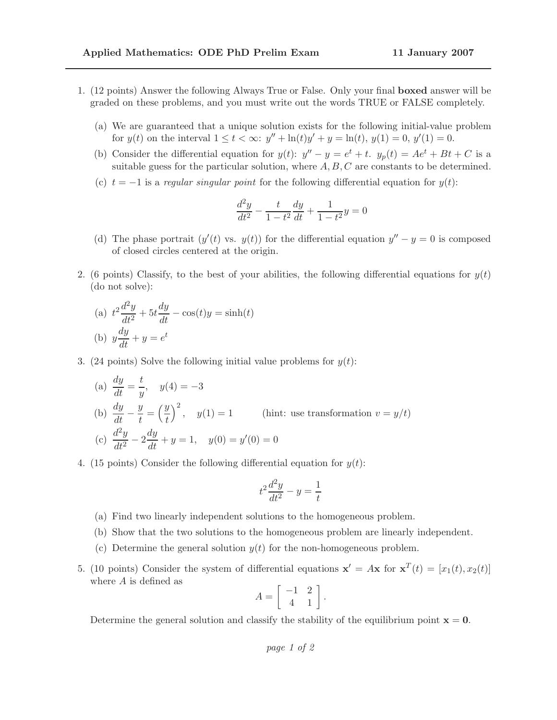- 1. (12 points) Answer the following Always True or False. Only your final boxed answer will be graded on these problems, and you must write out the words TRUE or FALSE completely.
	- (a) We are guaranteed that a unique solution exists for the following initial-value problem for  $y(t)$  on the interval  $1 \le t < \infty$ :  $y'' + \ln(t)y' + y = \ln(t)$ ,  $y(1) = 0$ ,  $y'(1) = 0$ .
	- (b) Consider the differential equation for  $y(t)$ :  $y'' y = e^t + t$ .  $y_p(t) = Ae^t + Bt + C$  is a suitable guess for the particular solution, where  $A, B, C$  are constants to be determined.
	- (c)  $t = -1$  is a regular singular point for the following differential equation for  $y(t)$ :

$$
\frac{d^2y}{dt^2} - \frac{t}{1 - t^2}\frac{dy}{dt} + \frac{1}{1 - t^2}y = 0
$$

- (d) The phase portrait  $(y'(t)$  vs.  $y(t)$  for the differential equation  $y'' y = 0$  is composed of closed circles centered at the origin.
- 2. (6 points) Classify, to the best of your abilities, the following differential equations for  $y(t)$ (do not solve):

(a) 
$$
t^{2} \frac{d^{2}y}{dt^{2}} + 5t \frac{dy}{dt} - \cos(t)y = \sinh(t)
$$
  
(b) 
$$
y \frac{dy}{dt} + y = e^{t}
$$

3. (24 points) Solve the following initial value problems for  $y(t)$ :

(a) 
$$
\frac{dy}{dt} = \frac{t}{y}, \quad y(4) = -3
$$
  
\n(b) 
$$
\frac{dy}{dt} - \frac{y}{t} = \left(\frac{y}{t}\right)^2, \quad y(1) = 1
$$
 (hint: use transformation  $v = y/t$ )  
\n(c) 
$$
\frac{d^2y}{dt^2} - 2\frac{dy}{dt} + y = 1, \quad y(0) = y'(0) = 0
$$

4. (15 points) Consider the following differential equation for  $y(t)$ :

$$
t^2\frac{d^2y}{dt^2} - y = \frac{1}{t}
$$

- (a) Find two linearly independent solutions to the homogeneous problem.
- (b) Show that the two solutions to the homogeneous problem are linearly independent.
- (c) Determine the general solution  $y(t)$  for the non-homogeneous problem.
- 5. (10 points) Consider the system of differential equations  $\mathbf{x}' = A\mathbf{x}$  for  $\mathbf{x}^T(t) = [x_1(t), x_2(t)]$ where  $A$  is defined as

$$
A = \left[ \begin{array}{rr} -1 & 2 \\ 4 & 1 \end{array} \right].
$$

Determine the general solution and classify the stability of the equilibrium point  $x = 0$ .

page 1 of 2